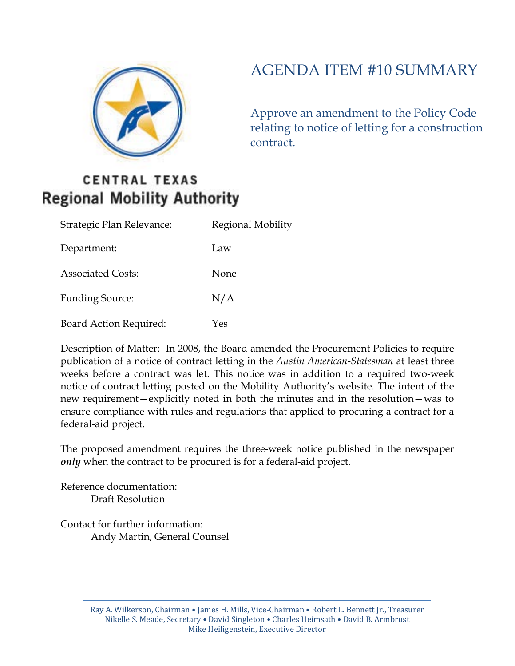

# AGENDA ITEM #10 SUMMARY

Approve an amendment to the Policy Code relating to notice of letting for a construction contract.

## **CENTRAL TEXAS Regional Mobility Authority**

| Strategic Plan Relevance:     | Regional Mobility |
|-------------------------------|-------------------|
| Department:                   | Law               |
| <b>Associated Costs:</b>      | None              |
| <b>Funding Source:</b>        | N/A               |
| <b>Board Action Required:</b> | Yes               |

Description of Matter: In 2008, the Board amended the Procurement Policies to require publication of a notice of contract letting in the *Austin American-Statesman* at least three weeks before a contract was let. This notice was in addition to a required two-week notice of contract letting posted on the Mobility Authority's website. The intent of the new requirement—explicitly noted in both the minutes and in the resolution—was to ensure compliance with rules and regulations that applied to procuring a contract for a federal-aid project.

The proposed amendment requires the three-week notice published in the newspaper *only* when the contract to be procured is for a federal-aid project.

Reference documentation: Draft Resolution

Contact for further information: Andy Martin, General Counsel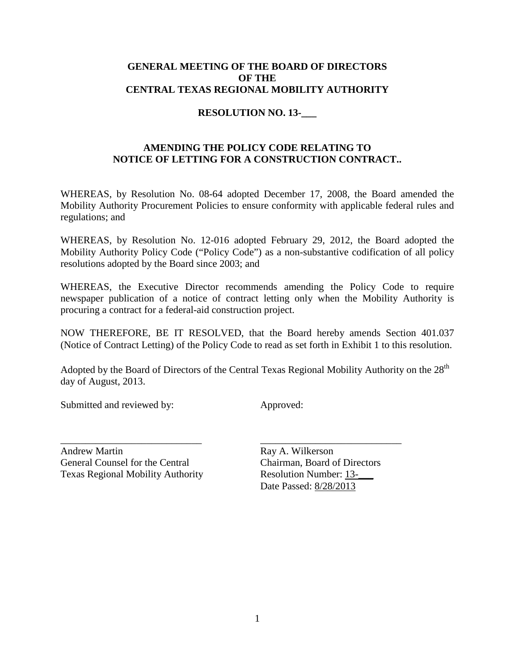#### **GENERAL MEETING OF THE BOARD OF DIRECTORS OF THE CENTRAL TEXAS REGIONAL MOBILITY AUTHORITY**

#### **RESOLUTION NO. 13-\_\_\_**

#### **AMENDING THE POLICY CODE RELATING TO NOTICE OF LETTING FOR A CONSTRUCTION CONTRACT..**

WHEREAS, by Resolution No. 08-64 adopted December 17, 2008, the Board amended the Mobility Authority Procurement Policies to ensure conformity with applicable federal rules and regulations; and

WHEREAS, by Resolution No. 12-016 adopted February 29, 2012, the Board adopted the Mobility Authority Policy Code ("Policy Code") as a non-substantive codification of all policy resolutions adopted by the Board since 2003; and

WHEREAS, the Executive Director recommends amending the Policy Code to require newspaper publication of a notice of contract letting only when the Mobility Authority is procuring a contract for a federal-aid construction project.

NOW THEREFORE, BE IT RESOLVED, that the Board hereby amends Section 401.037 (Notice of Contract Letting) of the Policy Code to read as set forth in Exhibit 1 to this resolution.

Adopted by the Board of Directors of the Central Texas Regional Mobility Authority on the 28<sup>th</sup> day of August, 2013.

\_\_\_\_\_\_\_\_\_\_\_\_\_\_\_\_\_\_\_\_\_\_\_\_\_\_\_\_ \_\_\_\_\_\_\_\_\_\_\_\_\_\_\_\_\_\_\_\_\_\_\_\_\_\_\_\_

Submitted and reviewed by: Approved:

Andrew Martin Ray A. Wilkerson General Counsel for the Central Chairman, Board of Directors Texas Regional Mobility Authority Resolution Number: 13-\_\_\_

Date Passed: 8/28/2013